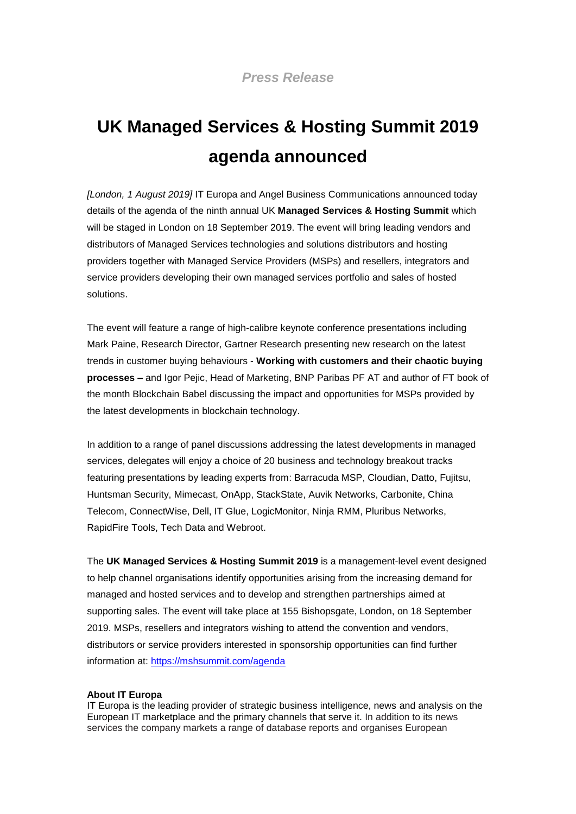## **UK Managed Services & Hosting Summit 2019 agenda announced**

*[London, 1 August 2019]* IT Europa and Angel Business Communications announced today details of the agenda of the ninth annual UK **Managed Services & Hosting Summit** which will be staged in London on 18 September 2019. The event will bring leading vendors and distributors of Managed Services technologies and solutions distributors and hosting providers together with Managed Service Providers (MSPs) and resellers, integrators and service providers developing their own managed services portfolio and sales of hosted solutions.

The event will feature a range of high-calibre keynote conference presentations including Mark Paine, Research Director, Gartner Research presenting new research on the latest trends in customer buying behaviours - **Working with customers and their chaotic buying processes –** and Igor Pejic, Head of Marketing, BNP Paribas PF AT and author of FT book of the month Blockchain Babel discussing the impact and opportunities for MSPs provided by the latest developments in blockchain technology.

In addition to a range of panel discussions addressing the latest developments in managed services, delegates will enjoy a choice of 20 business and technology breakout tracks featuring presentations by leading experts from: Barracuda MSP, Cloudian, Datto, Fujitsu, Huntsman Security, Mimecast, OnApp, StackState, Auvik Networks, Carbonite, China Telecom, ConnectWise, Dell, IT Glue, LogicMonitor, Ninja RMM, Pluribus Networks, RapidFire Tools, Tech Data and Webroot.

The **UK Managed Services & Hosting Summit 2019** is a management-level event designed to help channel organisations identify opportunities arising from the increasing demand for managed and hosted services and to develop and strengthen partnerships aimed at supporting sales. The event will take place at 155 Bishopsgate, London, on 18 September 2019. MSPs, resellers and integrators wishing to attend the convention and vendors, distributors or service providers interested in sponsorship opportunities can find further information at:<https://mshsummit.com/agenda>

## **About IT Europa**

IT Europa is the leading provider of strategic business intelligence, news and analysis on the European IT marketplace and the primary channels that serve it. In addition to its news services the company markets a range of database reports and organises European